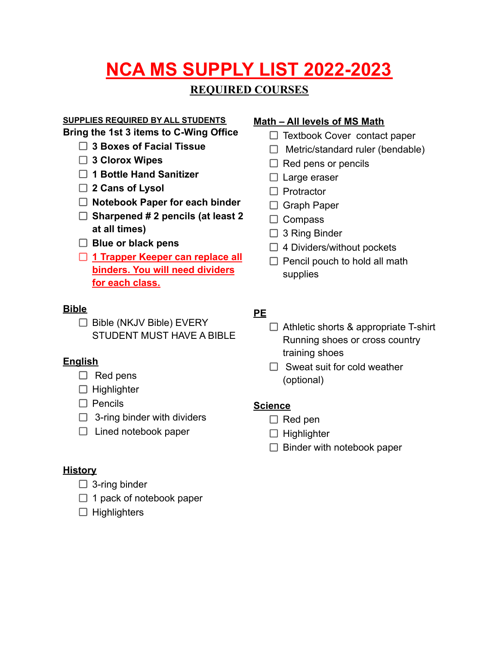# **NCA MS SUPPLY LIST 2022-2023**

# **REQUIRED COURSES**

### **SUPPLIES REQUIRED BY ALL STUDENTS**

**Bring the 1st 3 items to C-Wing Office**

- **3 Boxes of Facial Tissue**
- **3 Clorox Wipes**
- **1 Bottle Hand Sanitizer**
- **2 Cans of Lysol**
- **Notebook Paper for each binder**
- **Sharpened # 2 pencils (at least 2 at all times)**
- **Blue or black pens**
- **1 Trapper Keeper can replace all binders. You will need dividers for each class.**

# **Bible**

 $\Box$  Bible (NKJV Bible) EVERY STUDENT MUST HAVE A BIBLE

# **English**

- $\Box$  Red pens
- $\Box$  Highlighter
- $\square$  Pencils
- $\Box$  3-ring binder with dividers
- $\Box$  Lined notebook paper

# **History**

- $\Box$  3-ring binder
- $\Box$  1 pack of notebook paper
- $\Box$  Highlighters

# **Math – All levels of MS Math**

- $\Box$  Textbook Cover contact paper
- $\Box$  Metric/standard ruler (bendable)
- $\Box$  Red pens or pencils
- $\Box$  Large eraser
- $\Box$  Protractor
- $\Box$  Graph Paper
- $\Box$  Compass
- $\Box$  3 Ring Binder
- $\Box$  4 Dividers/without pockets
- $\Box$  Pencil pouch to hold all math supplies

# **PE**

- $\Box$  Athletic shorts & appropriate T-shirt Running shoes or cross country training shoes
- $\Box$  Sweat suit for cold weather (optional)

# **Science**

- $\Box$  Red pen
- $\Box$  Highlighter
- $\Box$  Binder with notebook paper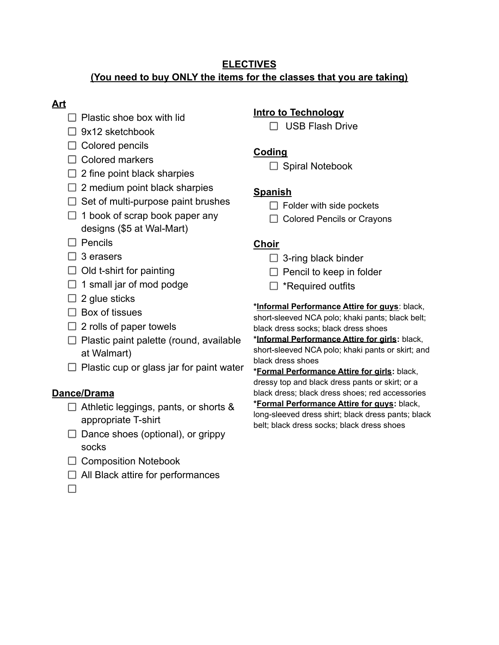### **ELECTIVES (You need to buy ONLY the items for the classes that you are taking)**

# **Art**

- $\Box$  Plastic shoe box with lid
- $\Box$  9x12 sketchbook
- $\Box$  Colored pencils
- $\Box$  Colored markers
- $\Box$  2 fine point black sharpies
- $\Box$  2 medium point black sharpies
- $\Box$  Set of multi-purpose paint brushes
- $\Box$  1 book of scrap book paper any designs (\$5 at Wal-Mart)
- $\Box$  Pencils
- $\Box$  3 erasers
- $\Box$  Old t-shirt for painting
- $\Box$  1 small jar of mod podge
- $\Box$  2 glue sticks
- $\Box$  Box of tissues
- $\Box$  2 rolls of paper towels
- $\Box$  Plastic paint palette (round, available at Walmart)
- $\Box$  Plastic cup or glass jar for paint water

### **Dance/Drama**

- $\Box$  Athletic leggings, pants, or shorts & appropriate T-shirt
- $\Box$  Dance shoes (optional), or grippy socks
- $\Box$  Composition Notebook
- $\Box$  All Black attire for performances

 $\Box$ 

# **Intro to Technology**

□ USB Flash Drive

### **Coding**

 $\Box$  Spiral Notebook

# **Spanish**

- $\Box$  Folder with side pockets
- □ Colored Pencils or Crayons

### **Choir**

- $\Box$  3-ring black binder
- $\Box$  Pencil to keep in folder
- $\Box$  \*Required outfits

**\*Informal Performance Attire for guys**: black,

short-sleeved NCA polo; khaki pants; black belt; black dress socks; black dress shoes

**\*Informal Performance Attire for girls:** black, short-sleeved NCA polo; khaki pants or skirt; and black dress shoes

**\*Formal Performance Attire for girls:** black, dressy top and black dress pants or skirt; or a black dress; black dress shoes; red accessories

**\*Formal Performance Attire for guys:** black, long-sleeved dress shirt; black dress pants; black belt; black dress socks; black dress shoes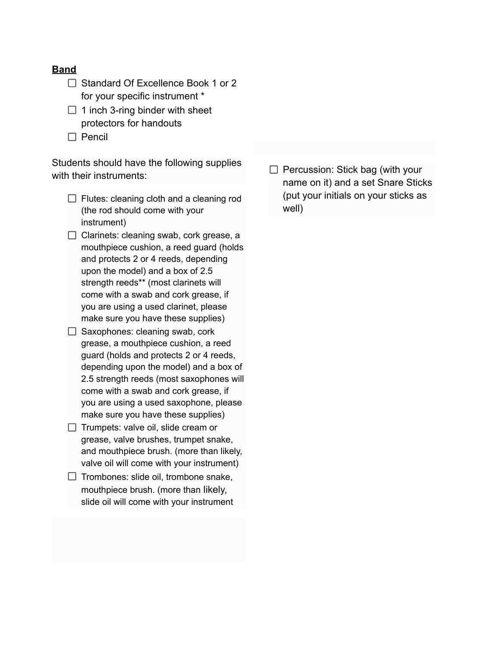### **Band**

- $\Box$  Standard Of Excellence Book 1 or 2 for your specific instrument \*
- $\Box$  1 inch 3-ring binder with sheet protectors for handouts
- $\Box$  Pencil

Students should have the following supplies with their instruments:

- $\Box$  Flutes: cleaning cloth and a cleaning rod (the rod should come with your instrument)
- $\Box$  Clarinets: cleaning swab, cork grease, a mouthpiece cushion, a reed guard (holds and protects 2 or 4 reeds, depending upon the model) and a box of 2.5 strength reeds\*\* (most clarinets will come with a swab and cork grease, if you are using a used clarinet, please make sure you have these supplies)
- $\Box$  Saxophones: cleaning swab, cork grease, a mouthpiece cushion, a reed guard (holds and protects 2 or 4 reeds, depending upon the model) and a box of 2.5 strength reeds (most saxophones will come with a swab and cork grease, if you are using a used saxophone, please make sure you have these supplies)
- $\Box$  Trumpets: valve oil, slide cream or grease, valve brushes, trumpet snake, and mouthpiece brush. (more than likely, valve oil will come with your instrument)
- $\Box$  Trombones: slide oil, trombone snake, mouthpiece brush. (more than likely, slide oil will come with your instrument

 $\Box$  Percussion: Stick bag (with your name on it) and a set Snare Sticks (put your initials on your sticks as well)